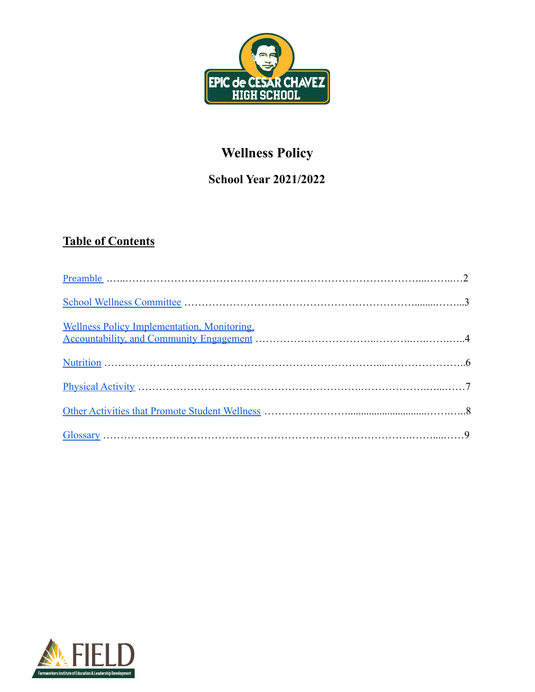

# **Wellness Policy**

## **School Year 2021/2022**

## **Table of Contents**

| Wellness Policy Implementation, Monitoring, |  |
|---------------------------------------------|--|
|                                             |  |
|                                             |  |
|                                             |  |
|                                             |  |

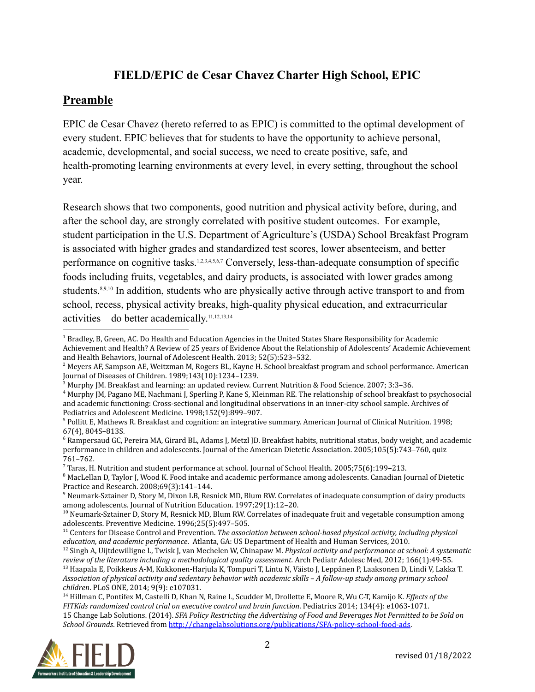## **FIELD/EPIC de Cesar Chavez Charter High School, EPIC**

### <span id="page-1-0"></span>**Preamble**

EPIC de Cesar Chavez (hereto referred to as EPIC) is committed to the optimal development of every student. EPIC believes that for students to have the opportunity to achieve personal, academic, developmental, and social success, we need to create positive, safe, and health-promoting learning environments at every level, in every setting, throughout the school year.

Research shows that two components, good nutrition and physical activity before, during, and after the school day, are strongly correlated with positive student outcomes. For example, student participation in the U.S. Department of Agriculture's (USDA) School Breakfast Program is associated with higher grades and standardized test scores, lower absenteeism, and better performance on cognitive tasks.<sup>1,2,3,4,5,6,7</sup> Conversely, less-than-adequate consumption of specific foods including fruits, vegetables, and dairy products, is associated with lower grades among students.<sup>8,9,10</sup> In addition, students who are physically active through active transport to and from school, recess, physical activity breaks, high-quality physical education, and extracurricular activities – do better academically. 11,12,13,14

<sup>14</sup> Hillman C, Pontifex M, Castelli D, Khan N, Raine L, Scudder M, Drollette E, Moore R, Wu C-T, Kamijo K. *Effects of the FITKids randomized control trial on executive control and brain function*. Pediatrics 2014; 134(4): e1063-1071. 15 Change Lab Solutions. (2014). *SFA Policy Restricting the Advertising of Food and Beverages Not Permitted to be Sold on School Grounds*. Retrieved from [http://changelabsolutions.org/publications/SFA-policy-school-food-ads.](http://changelabsolutions.org/publications/district-policy-school-food-ads)



<sup>&</sup>lt;sup>1</sup> Bradley, B, Green, AC. Do Health and Education Agencies in the United States Share Responsibility for Academic Achievement and Health? A Review of 25 years of Evidence About the Relationship of Adolescents' Academic Achievement and Health Behaviors, Journal of Adolescent Health. 2013; 52(5):523–532.

<sup>2</sup> Meyers AF, Sampson AE, Weitzman M, Rogers BL, Kayne H. School breakfast program and school performance. American Journal of Diseases of Children. 1989;143(10):1234–1239.

<sup>3</sup> Murphy JM. Breakfast and learning: an updated review. Current Nutrition & Food Science. 2007; 3:3–36.

<sup>4</sup> Murphy JM, Pagano ME, Nachmani J, Sperling P, Kane S, Kleinman RE. The relationship of school breakfast to psychosocial and academic functioning: Cross-sectional and longitudinal observations in an inner-city school sample. Archives of Pediatrics and Adolescent Medicine. 1998;152(9):899–907.

 $<sup>5</sup>$  Pollitt E, Mathews R. Breakfast and cognition: an integrative summary. American Journal of Clinical Nutrition. 1998;</sup> 67(4), 804S–813S.

 $6$  Rampersaud GC, Pereira MA, Girard BL, Adams J, Metzl JD. Breakfast habits, nutritional status, body weight, and academic performance in children and adolescents. Journal of the American Dietetic Association. 2005;105(5):743–760, quiz 761–762.

<sup>7</sup> Taras, H. Nutrition and student performance at school. Journal of School Health. 2005;75(6):199–213.

<sup>&</sup>lt;sup>8</sup> MacLellan D, Taylor J, Wood K. Food intake and academic performance among adolescents. Canadian Journal of Dietetic Practice and Research. 2008;69(3):141–144.

<sup>9</sup> Neumark-Sztainer D, Story M, Dixon LB, Resnick MD, Blum RW. Correlates of inadequate consumption of dairy products among adolescents. Journal of Nutrition Education. 1997;29(1):12–20.

<sup>&</sup>lt;sup>10</sup> Neumark-Sztainer D, Story M, Resnick MD, Blum RW. Correlates of inadequate fruit and vegetable consumption among adolescents. Preventive Medicine. 1996;25(5):497–505.

<sup>11</sup> Centers for Disease Control and Prevention. *The association between school-based physical activity, including physical education, and academic performance*. Atlanta, GA: US Department of Health and Human Services, 2010.

<sup>12</sup> Singh A, Uijtdewilligne L, Twisk J, van Mechelen W, Chinapaw M. *Physical activity and performance at school: A systematic review of the literature including a methodological quality assessment.* Arch Pediatr Adolesc Med, 2012; 166(1):49-55.

<sup>&</sup>lt;sup>13</sup> Haapala E, Poikkeus A-M, Kukkonen-Harjula K, Tompuri T, Lintu N, Väisto J, Leppänen P, Laaksonen D, Lindi V, Lakka T. *Association of physical activity and sedentary behavior with academic skills – A follow-up study among primary school children*. PLoS ONE, 2014; 9(9): e107031.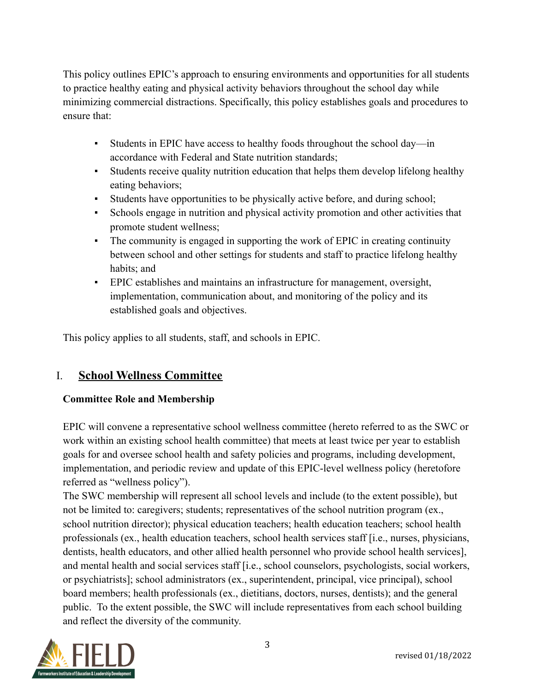This policy outlines EPIC's approach to ensuring environments and opportunities for all students to practice healthy eating and physical activity behaviors throughout the school day while minimizing commercial distractions. Specifically, this policy establishes goals and procedures to ensure that:

- Students in EPIC have access to healthy foods throughout the school day—in accordance with Federal and State nutrition standards;
- Students receive quality nutrition education that helps them develop lifelong healthy eating behaviors;
- Students have opportunities to be physically active before, and during school;
- Schools engage in nutrition and physical activity promotion and other activities that promote student wellness;
- The community is engaged in supporting the work of EPIC in creating continuity between school and other settings for students and staff to practice lifelong healthy habits; and
- EPIC establishes and maintains an infrastructure for management, oversight, implementation, communication about, and monitoring of the policy and its established goals and objectives.

This policy applies to all students, staff, and schools in EPIC.

## <span id="page-2-0"></span>I. **School Wellness Committee**

#### **Committee Role and Membership**

EPIC will convene a representative school wellness committee (hereto referred to as the SWC or work within an existing school health committee) that meets at least twice per year to establish goals for and oversee school health and safety policies and programs, including development, implementation, and periodic review and update of this EPIC-level wellness policy (heretofore referred as "wellness policy").

The SWC membership will represent all school levels and include (to the extent possible), but not be limited to: caregivers; students; representatives of the school nutrition program (ex., school nutrition director); physical education teachers; health education teachers; school health professionals (ex., health education teachers, school health services staff [i.e., nurses, physicians, dentists, health educators, and other allied health personnel who provide school health services], and mental health and social services staff [i.e., school counselors, psychologists, social workers, or psychiatrists]; school administrators (ex., superintendent, principal, vice principal), school board members; health professionals (ex., dietitians, doctors, nurses, dentists); and the general public. To the extent possible, the SWC will include representatives from each school building and reflect the diversity of the community.

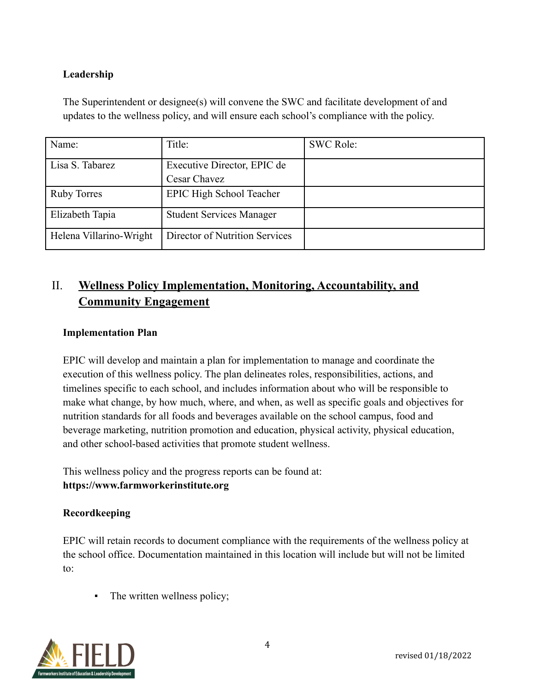#### **Leadership**

| Name:                   | Title:                          | <b>SWC Role:</b> |
|-------------------------|---------------------------------|------------------|
| Lisa S. Tabarez         | Executive Director, EPIC de     |                  |
|                         | Cesar Chavez                    |                  |
| <b>Ruby Torres</b>      | <b>EPIC High School Teacher</b> |                  |
| Elizabeth Tapia         | <b>Student Services Manager</b> |                  |
| Helena Villarino-Wright | Director of Nutrition Services  |                  |

The Superintendent or designee(s) will convene the SWC and facilitate development of and updates to the wellness policy, and will ensure each school's compliance with the policy.

## <span id="page-3-0"></span>II. **Wellness Policy Implementation, Monitoring, Accountability, and Community Engagement**

#### **Implementation Plan**

EPIC will develop and maintain a plan for implementation to manage and coordinate the execution of this wellness policy. The plan delineates roles, responsibilities, actions, and timelines specific to each school, and includes information about who will be responsible to make what change, by how much, where, and when, as well as specific goals and objectives for nutrition standards for all foods and beverages available on the school campus, food and beverage marketing, nutrition promotion and education, physical activity, physical education, and other school-based activities that promote student wellness.

This wellness policy and the progress reports can be found at: **https://www.farmworkerinstitute.org**

#### **Recordkeeping**

EPIC will retain records to document compliance with the requirements of the wellness policy at the school office. Documentation maintained in this location will include but will not be limited to:

• The written wellness policy;

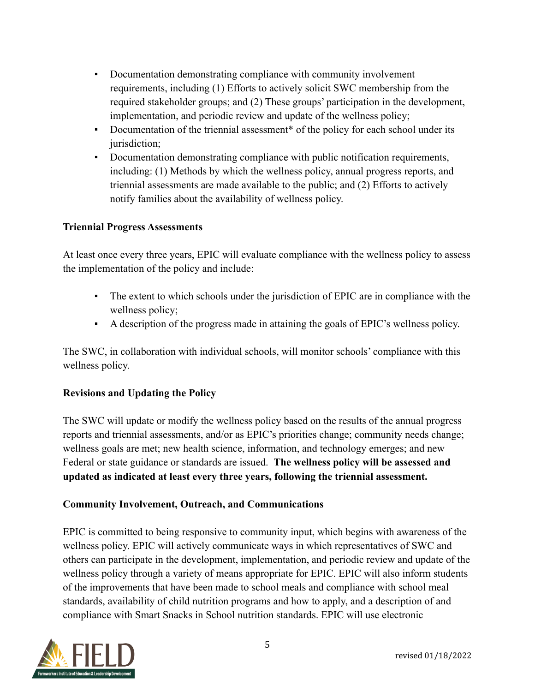- Documentation demonstrating compliance with community involvement requirements, including (1) Efforts to actively solicit SWC membership from the required stakeholder groups; and (2) These groups' participation in the development, implementation, and periodic review and update of the wellness policy;
- Documentation of the triennial assessment\* of the policy for each school under its jurisdiction;
- Documentation demonstrating compliance with public notification requirements, including: (1) Methods by which the wellness policy, annual progress reports, and triennial assessments are made available to the public; and (2) Efforts to actively notify families about the availability of wellness policy.

#### **Triennial Progress Assessments**

At least once every three years, EPIC will evaluate compliance with the wellness policy to assess the implementation of the policy and include:

- The extent to which schools under the jurisdiction of EPIC are in compliance with the wellness policy;
- A description of the progress made in attaining the goals of EPIC's wellness policy.

The SWC, in collaboration with individual schools, will monitor schools' compliance with this wellness policy.

#### **Revisions and Updating the Policy**

The SWC will update or modify the wellness policy based on the results of the annual progress reports and triennial assessments, and/or as EPIC's priorities change; community needs change; wellness goals are met; new health science, information, and technology emerges; and new Federal or state guidance or standards are issued. **The wellness policy will be assessed and updated as indicated at least every three years, following the triennial assessment.**

#### **Community Involvement, Outreach, and Communications**

EPIC is committed to being responsive to community input, which begins with awareness of the wellness policy. EPIC will actively communicate ways in which representatives of SWC and others can participate in the development, implementation, and periodic review and update of the wellness policy through a variety of means appropriate for EPIC. EPIC will also inform students of the improvements that have been made to school meals and compliance with school meal standards, availability of child nutrition programs and how to apply, and a description of and compliance with Smart Snacks in School nutrition standards. EPIC will use electronic

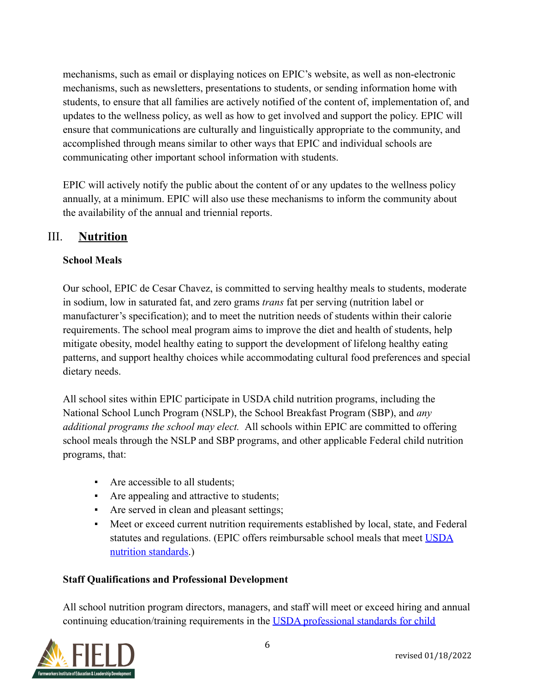mechanisms, such as email or displaying notices on EPIC's website, as well as non-electronic mechanisms, such as newsletters, presentations to students, or sending information home with students, to ensure that all families are actively notified of the content of, implementation of, and updates to the wellness policy, as well as how to get involved and support the policy. EPIC will ensure that communications are culturally and linguistically appropriate to the community, and accomplished through means similar to other ways that EPIC and individual schools are communicating other important school information with students.

EPIC will actively notify the public about the content of or any updates to the wellness policy annually, at a minimum. EPIC will also use these mechanisms to inform the community about the availability of the annual and triennial reports.

## <span id="page-5-0"></span>III. **Nutrition**

#### **School Meals**

Our school, EPIC de Cesar Chavez, is committed to serving healthy meals to students, moderate in sodium, low in saturated fat, and zero grams *trans* fat per serving (nutrition label or manufacturer's specification); and to meet the nutrition needs of students within their calorie requirements. The school meal program aims to improve the diet and health of students, help mitigate obesity, model healthy eating to support the development of lifelong healthy eating patterns, and support healthy choices while accommodating cultural food preferences and special dietary needs.

All school sites within EPIC participate in USDA child nutrition programs, including the National School Lunch Program (NSLP), the School Breakfast Program (SBP), and *any additional programs the school may elect.* All schools within EPIC are committed to offering school meals through the NSLP and SBP programs, and other applicable Federal child nutrition programs, that:

- Are accessible to all students;
- Are appealing and attractive to students;
- Are served in clean and pleasant settings;
- Meet or exceed current nutrition requirements established by local, state, and Federal statutes and regulations. (EPIC offers reimbursable school meals that meet [USDA](http://www.fns.usda.gov/school-meals/nutrition-standards-school-meals) [nutrition standards.](http://www.fns.usda.gov/school-meals/nutrition-standards-school-meals))

#### **Staff Qualifications and Professional Development**

All school nutrition program directors, managers, and staff will meet or exceed hiring and annual continuing education/training requirements in the [USDA professional standards for child](http://www.fns.usda.gov/sites/default/files/CN2014-0130.pdf)

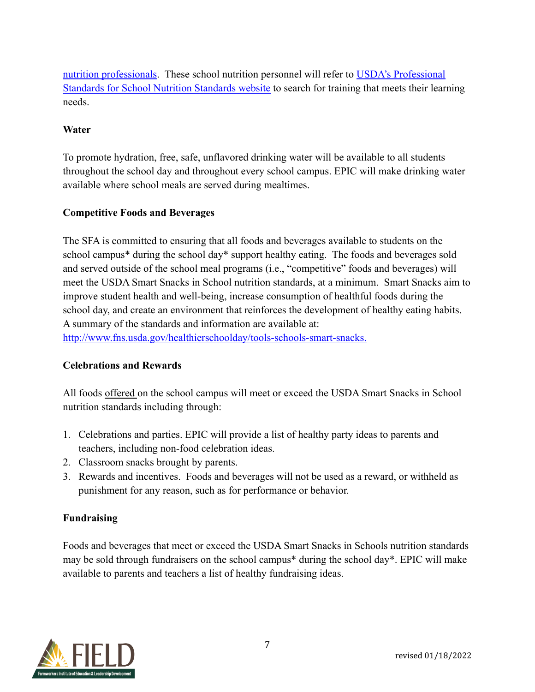[nutrition professionals.](http://www.fns.usda.gov/sites/default/files/CN2014-0130.pdf) These school nutrition personnel will refer to [USDA's Professional](http://professionalstandards.nal.usda.gov/) [Standards for School Nutrition Standards website](http://professionalstandards.nal.usda.gov/) to search for training that meets their learning needs.

#### **Water**

To promote hydration, free, safe, unflavored drinking water will be available to all students throughout the school day and throughout every school campus. EPIC will make drinking water available where school meals are served during mealtimes.

#### **Competitive Foods and Beverages**

The SFA is committed to ensuring that all foods and beverages available to students on the school campus\* during the school day\* support healthy eating. The foods and beverages sold and served outside of the school meal programs (i.e., "competitive" foods and beverages) will meet the USDA Smart Snacks in School nutrition standards, at a minimum. Smart Snacks aim to improve student health and well-being, increase consumption of healthful foods during the school day, and create an environment that reinforces the development of healthy eating habits. A summary of the standards and information are available at:

[http://www.fns.usda.gov/healthierschoolday/tools-schools-smart-snacks.](http://www.fns.usda.gov/healthierschoolday/tools-schools-smart-snacks)

#### **Celebrations and Rewards**

All foods offered on the school campus will meet or exceed the USDA Smart Snacks in School nutrition standards including through:

- 1. Celebrations and parties. EPIC will provide a list of healthy party ideas to parents and teachers, including non-food celebration ideas.
- 2. Classroom snacks brought by parents.
- 3. Rewards and incentives. Foods and beverages will not be used as a reward, or withheld as punishment for any reason, such as for performance or behavior.

#### **Fundraising**

Foods and beverages that meet or exceed the USDA Smart Snacks in Schools nutrition standards may be sold through fundraisers on the school campus\* during the school day\*. EPIC will make available to parents and teachers a list of healthy fundraising ideas.

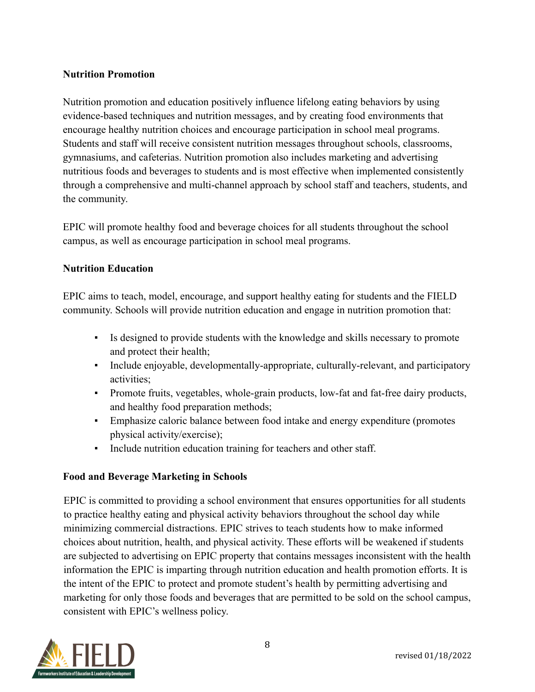#### **Nutrition Promotion**

Nutrition promotion and education positively influence lifelong eating behaviors by using evidence-based techniques and nutrition messages, and by creating food environments that encourage healthy nutrition choices and encourage participation in school meal programs. Students and staff will receive consistent nutrition messages throughout schools, classrooms, gymnasiums, and cafeterias. Nutrition promotion also includes marketing and advertising nutritious foods and beverages to students and is most effective when implemented consistently through a comprehensive and multi-channel approach by school staff and teachers, students, and the community.

EPIC will promote healthy food and beverage choices for all students throughout the school campus, as well as encourage participation in school meal programs.

#### **Nutrition Education**

EPIC aims to teach, model, encourage, and support healthy eating for students and the FIELD community. Schools will provide nutrition education and engage in nutrition promotion that:

- Is designed to provide students with the knowledge and skills necessary to promote and protect their health;
- Include enjoyable, developmentally-appropriate, culturally-relevant, and participatory activities;
- Promote fruits, vegetables, whole-grain products, low-fat and fat-free dairy products, and healthy food preparation methods;
- Emphasize caloric balance between food intake and energy expenditure (promotes physical activity/exercise);
- Include nutrition education training for teachers and other staff.

#### **Food and Beverage Marketing in Schools**

EPIC is committed to providing a school environment that ensures opportunities for all students to practice healthy eating and physical activity behaviors throughout the school day while minimizing commercial distractions. EPIC strives to teach students how to make informed choices about nutrition, health, and physical activity. These efforts will be weakened if students are subjected to advertising on EPIC property that contains messages inconsistent with the health information the EPIC is imparting through nutrition education and health promotion efforts. It is the intent of the EPIC to protect and promote student's health by permitting advertising and marketing for only those foods and beverages that are permitted to be sold on the school campus, consistent with EPIC's wellness policy.

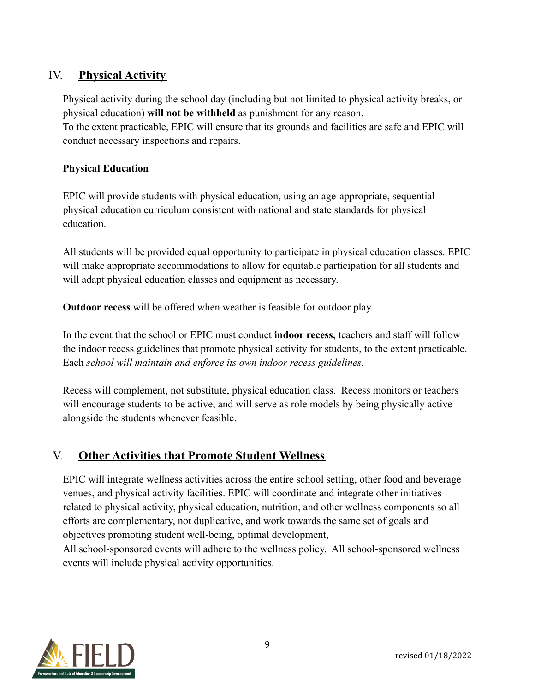## <span id="page-8-0"></span>IV. **Physical Activity**

Physical activity during the school day (including but not limited to physical activity breaks, or physical education) **will not be withheld** as punishment for any reason. To the extent practicable, EPIC will ensure that its grounds and facilities are safe and EPIC will conduct necessary inspections and repairs.

#### **Physical Education**

EPIC will provide students with physical education, using an age-appropriate, sequential physical education curriculum consistent with national and state standards for physical education.

All students will be provided equal opportunity to participate in physical education classes. EPIC will make appropriate accommodations to allow for equitable participation for all students and will adapt physical education classes and equipment as necessary.

**Outdoor recess** will be offered when weather is feasible for outdoor play.

In the event that the school or EPIC must conduct **indoor recess,** teachers and staff will follow the indoor recess guidelines that promote physical activity for students, to the extent practicable. Each *school will maintain and enforce its own indoor recess guidelines.*

Recess will complement, not substitute, physical education class. Recess monitors or teachers will encourage students to be active, and will serve as role models by being physically active alongside the students whenever feasible.

#### <span id="page-8-1"></span>V. **Other Activities that Promote Student Wellness**

EPIC will integrate wellness activities across the entire school setting, other food and beverage venues, and physical activity facilities. EPIC will coordinate and integrate other initiatives related to physical activity, physical education, nutrition, and other wellness components so all efforts are complementary, not duplicative, and work towards the same set of goals and objectives promoting student well-being, optimal development,

All school-sponsored events will adhere to the wellness policy. All school-sponsored wellness events will include physical activity opportunities.